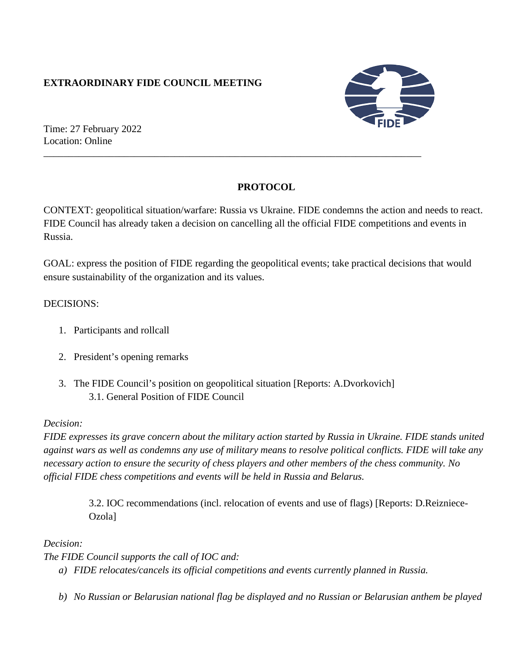# **EXTRAORDINARY FIDE COUNCIL MEETING**



Time: 27 February 2022 Location: Online

# **PROTOCOL**

\_\_\_\_\_\_\_\_\_\_\_\_\_\_\_\_\_\_\_\_\_\_\_\_\_\_\_\_\_\_\_\_\_\_\_\_\_\_\_\_\_\_\_\_\_\_\_\_\_\_\_\_\_\_\_\_\_\_\_\_\_\_\_\_\_\_\_\_\_\_\_\_\_\_\_

CONTEXT: geopolitical situation/warfare: Russia vs Ukraine. FIDE condemns the action and needs to react. FIDE Council has already taken a decision on cancelling all the official FIDE competitions and events in Russia.

GOAL: express the position of FIDE regarding the geopolitical events; take practical decisions that would ensure sustainability of the organization and its values.

### DECISIONS:

- 1. Participants and rollcall
- 2. President's opening remarks
- 3. The FIDE Council's position on geopolitical situation [Reports: A.Dvorkovich] 3.1. General Position of FIDE Council

## *Decision:*

*FIDE expresses its grave concern about the military action started by Russia in Ukraine. FIDE stands united against wars as well as condemns any use of military means to resolve political conflicts. FIDE will take any necessary action to ensure the security of chess players and other members of the chess community. No official FIDE chess competitions and events will be held in Russia and Belarus.*

> 3.2. IOC recommendations (incl. relocation of events and use of flags) [Reports: D.Reizniece-Ozola]

#### *Decision:*

*The FIDE Council supports the call of IOC and:*

*a) FIDE relocates/cancels its official competitions and events currently planned in Russia.*

*b) No Russian or Belarusian national flag be displayed and no Russian or Belarusian anthem be played*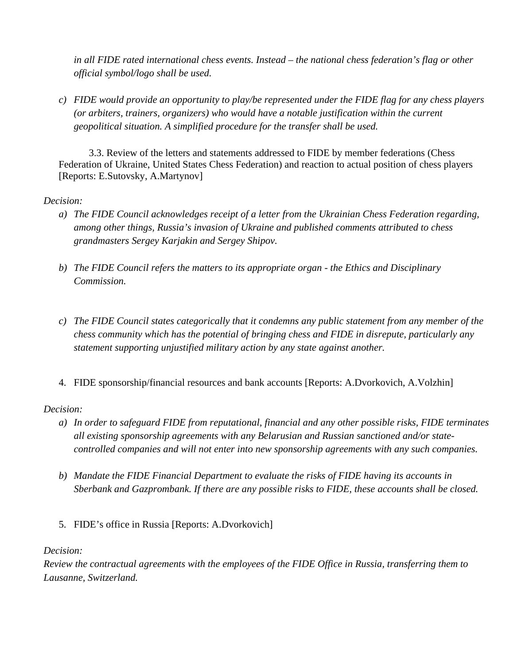*in all FIDE rated international chess events. Instead – the national chess federation's flag or other official symbol/logo shall be used.*

*c) FIDE would provide an opportunity to play/be represented under the FIDE flag for any chess players (or arbiters, trainers, organizers) who would have a notable justification within the current geopolitical situation. A simplified procedure for the transfer shall be used.*

3.3. Review of the letters and statements addressed to FIDE by member federations (Chess Federation of Ukraine, United States Chess Federation) and reaction to actual position of chess players [Reports: E.Sutovsky, A.Martynov]

#### *Decision:*

- *a) The FIDE Council acknowledges receipt of a letter from the Ukrainian Chess Federation regarding, among other things, Russia's invasion of Ukraine and published comments attributed to chess grandmasters Sergey Karjakin and Sergey Shipov.*
- *b) The FIDE Council refers the matters to its appropriate organ - the Ethics and Disciplinary Commission.*
- *c) The FIDE Council states categorically that it condemns any public statement from any member of the chess community which has the potential of bringing chess and FIDE in disrepute, particularly any statement supporting unjustified military action by any state against another.*
- 4. FIDE sponsorship/financial resources and bank accounts [Reports: A.Dvorkovich, A.Volzhin]

## *Decision:*

- *a) In order to safeguard FIDE from reputational, financial and any other possible risks, FIDE terminates all existing sponsorship agreements with any Belarusian and Russian sanctioned and/or statecontrolled companies and will not enter into new sponsorship agreements with any such companies.*
- *b) Mandate the FIDE Financial Department to evaluate the risks of FIDE having its accounts in Sberbank and Gazprombank. If there are any possible risks to FIDE, these accounts shall be closed.*
- 5. FIDE's office in Russia [Reports: A.Dvorkovich]

#### *Decision:*

*Review the contractual agreements with the employees of the FIDE Office in Russia, transferring them to Lausanne, Switzerland.*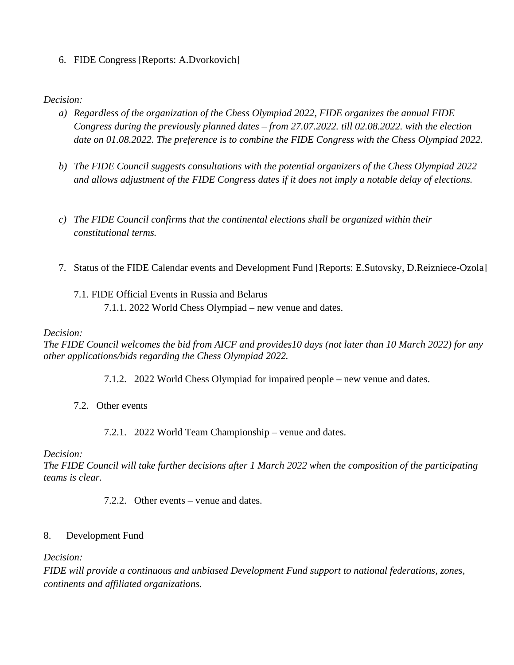6. FIDE Congress [Reports: A.Dvorkovich]

#### *Decision:*

- *a) Regardless of the organization of the Chess Olympiad 2022, FIDE organizes the annual FIDE Congress during the previously planned dates – from 27.07.2022. till 02.08.2022. with the election date on 01.08.2022. The preference is to combine the FIDE Congress with the Chess Olympiad 2022.*
- *b) The FIDE Council suggests consultations with the potential organizers of the Chess Olympiad 2022 and allows adjustment of the FIDE Congress dates if it does not imply a notable delay of elections.*
- *c) The FIDE Council confirms that the continental elections shall be organized within their constitutional terms.*
- 7. Status of the FIDE Calendar events and Development Fund [Reports: E.Sutovsky, D.Reizniece-Ozola]

# 7.1. FIDE Official Events in Russia and Belarus 7.1.1. 2022 World Chess Olympiad – new venue and dates.

#### *Decision:*

*The FIDE Council welcomes the bid from AICF and provides10 days (not later than 10 March 2022) for any other applications/bids regarding the Chess Olympiad 2022.*

- 7.1.2. 2022 World Chess Olympiad for impaired people new venue and dates.
- 7.2. Other events
	- 7.2.1. 2022 World Team Championship venue and dates.

#### *Decision:*

*The FIDE Council will take further decisions after 1 March 2022 when the composition of the participating teams is clear.*

7.2.2. Other events – venue and dates.

#### 8. Development Fund

*Decision:*

*FIDE will provide a continuous and unbiased Development Fund support to national federations, zones, continents and affiliated organizations.*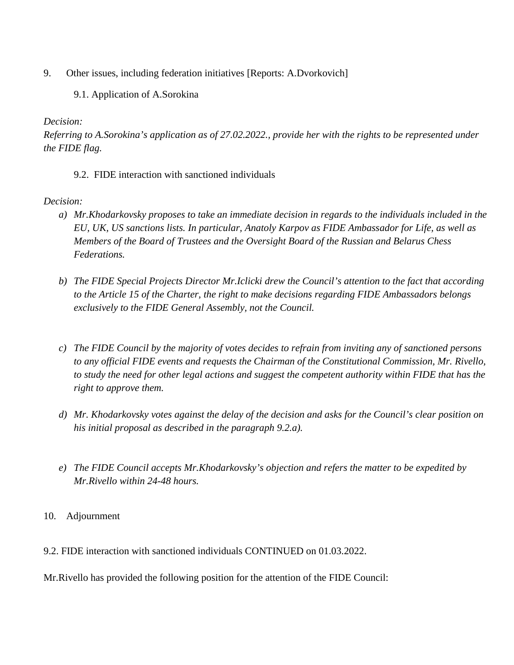- 9. Other issues, including federation initiatives [Reports: A.Dvorkovich]
	- 9.1. Application of A.Sorokina

### *Decision:*

*Referring to A.Sorokina's application as of 27.02.2022., provide her with the rights to be represented under the FIDE flag.*

9.2. FIDE interaction with sanctioned individuals

### *Decision:*

- *a) Mr.Khodarkovsky proposes to take an immediate decision in regards to the individuals included in the EU, UK, US sanctions lists. In particular, Anatoly Karpov as FIDE Ambassador for Life, as well as Members of the Board of Trustees and the Oversight Board of the Russian and Belarus Chess Federations.*
- *b) The FIDE Special Projects Director Mr.Iclicki drew the Council's attention to the fact that according to the Article 15 of the Charter, the right to make decisions regarding FIDE Ambassadors belongs exclusively to the FIDE General Assembly, not the Council.*
- *c) The FIDE Council by the majority of votes decides to refrain from inviting any of sanctioned persons to any official FIDE events and requests the Chairman of the Constitutional Commission, Mr. Rivello, to study the need for other legal actions and suggest the competent authority within FIDE that has the right to approve them.*
- *d) Mr. Khodarkovsky votes against the delay of the decision and asks for the Council's clear position on his initial proposal as described in the paragraph 9.2.a).*
- *e) The FIDE Council accepts Mr.Khodarkovsky's objection and refers the matter to be expedited by Mr.Rivello within 24-48 hours.*
- 10. Adjournment
- 9.2. FIDE interaction with sanctioned individuals CONTINUED on 01.03.2022.
- Mr.Rivello has provided the following position for the attention of the FIDE Council: